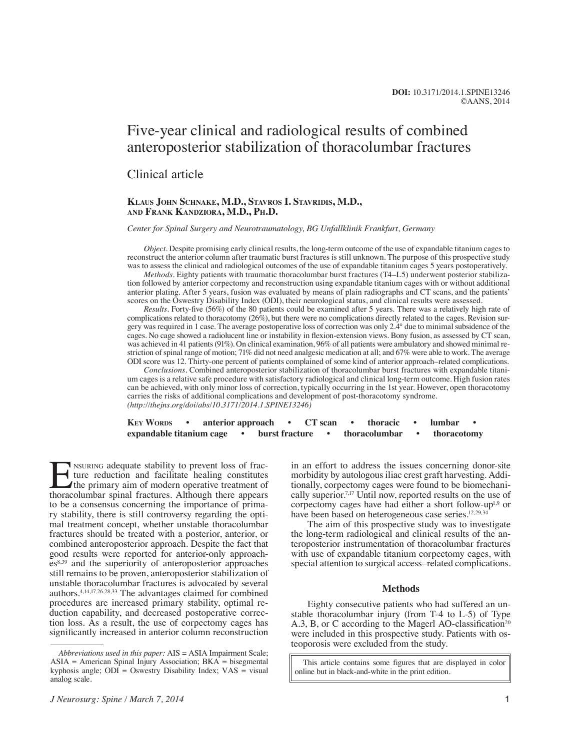# Five-year clinical and radiological results of combined anteroposterior stabilization of thoracolumbar fractures

Clinical article

## **Klaus John Schnake, M.D., Stavros I. Stavridis, M.D., and Frank Kandziora, M.D., Ph.D.**

*Center for Spinal Surgery and Neurotraumatology, BG Unfallklinik Frankfurt, Germany*

*Object.* Despite promising early clinical results, the long-term outcome of the use of expandable titanium cages to reconstruct the anterior column after traumatic burst fractures is still unknown. The purpose of this prospective study was to assess the clinical and radiological outcomes of the use of expandable titanium cages 5 years postoperatively.

*Methods.* Eighty patients with traumatic thoracolumbar burst fractures (T4–L5) underwent posterior stabilization followed by anterior corpectomy and reconstruction using expandable titanium cages with or without additional anterior plating. After 5 years, fusion was evaluated by means of plain radiographs and CT scans, and the patients' scores on the Oswestry Disability Index (ODI), their neurological status, and clinical results were assessed.

*Results.* Forty-five (56%) of the 80 patients could be examined after 5 years. There was a relatively high rate of complications related to thoracotomy (26%), but there were no complications directly related to the cages. Revision surgery was required in 1 case. The average postoperative loss of correction was only 2.4° due to minimal subsidence of the cages. No cage showed a radiolucent line or instability in flexion-extension views. Bony fusion, as assessed by CT scan, was achieved in 41 patients (91%). On clinical examination, 96% of all patients were ambulatory and showed minimal restriction of spinal range of motion; 71% did not need analgesic medication at all; and 67% were able to work. The average ODI score was 12. Thirty-one percent of patients complained of some kind of anterior approach–related complications.

*Conclusions.* Combined anteroposterior stabilization of thoracolumbar burst fractures with expandable titanium cages is a relative safe procedure with satisfactory radiological and clinical long-term outcome. High fusion rates can be achieved, with only minor loss of correction, typically occurring in the 1st year. However, open thoracotomy carries the risks of additional complications and development of post-thoracotomy syndrome. *(http://thejns.org/doi/abs/10.3171/2014.1.SPINE13246)*

| <b>KEY WORDS</b>           | anterior approach |                       | CT scan | thoracic •    | lumbar      |  |
|----------------------------|-------------------|-----------------------|---------|---------------|-------------|--|
| expandable titanium cage • |                   | <b>burst fracture</b> |         | thoracolumbar | thoracotomy |  |

INSURING adequate stability to prevent loss of fracture reduction and facilitate healing constitutes the primary aim of modern operative treatment of thoracolumbar spinal fractures. Although there appears to be a consensus concerning the importance of primary stability, there is still controversy regarding the optimal treatment concept, whether unstable thoracolumbar fractures should be treated with a posterior, anterior, or combined anteroposterior approach. Despite the fact that good results were reported for anterior-only approaches<sup>8,39</sup> and the superiority of anteroposterior approaches still remains to be proven, anteroposterior stabilization of unstable thoracolumbar fractures is advocated by several authors.4,14,17,26,28,33 The advantages claimed for combined procedures are increased primary stability, optimal reduction capability, and decreased postoperative correction loss. As a result, the use of corpectomy cages has significantly increased in anterior column reconstruction in an effort to address the issues concerning donor-site morbidity by autologous iliac crest graft harvesting. Additionally, corpectomy cages were found to be biomechanically superior.7,17 Until now, reported results on the use of corpectomy cages have had either a short follow-up<sup>1,9</sup> or have been based on heterogeneous case series.12,29,34

The aim of this prospective study was to investigate the long-term radiological and clinical results of the anteroposterior instrumentation of thoracolumbar fractures with use of expandable titanium corpectomy cages, with special attention to surgical access–related complications.

## **Methods**

Eighty consecutive patients who had suffered an unstable thoracolumbar injury (from T-4 to L-5) of Type A.3, B, or C according to the Magerl AO-classification<sup>20</sup> were included in this prospective study. Patients with osteoporosis were excluded from the study.

This article contains some figures that are displayed in color online but in black-and-white in the print edition.

*Abbreviations used in this paper:* AIS = ASIA Impairment Scale;  $ASIA = American Spinal Injury Association; BKA = bisegmental$ kyphosis angle;  $ODI =$  Oswestry Disability Index;  $VAS =$  visual analog scale.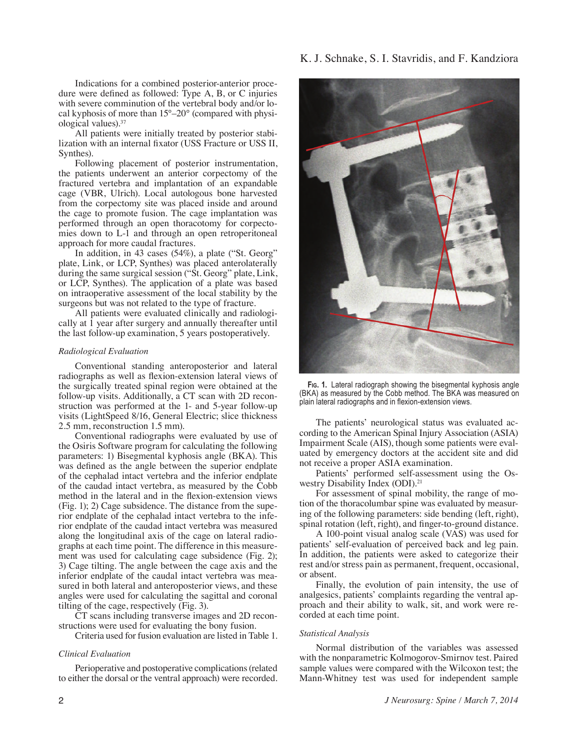Indications for a combined posterior-anterior procedure were defined as followed: Type A, B, or C injuries with severe comminution of the vertebral body and/or local kyphosis of more than 15°–20° (compared with physiological values).37

All patients were initially treated by posterior stabilization with an internal fixator (USS Fracture or USS II, Synthes).

Following placement of posterior instrumentation, the patients underwent an anterior corpectomy of the fractured vertebra and implantation of an expandable cage (VBR, Ulrich). Local autologous bone harvested from the corpectomy site was placed inside and around the cage to promote fusion. The cage implantation was performed through an open thoracotomy for corpectomies down to L-1 and through an open retroperitoneal approach for more caudal fractures.

In addition, in 43 cases (54%), a plate ("St. Georg" plate, Link, or LCP, Synthes) was placed anterolaterally during the same surgical session ("St. Georg" plate, Link, or LCP, Synthes). The application of a plate was based on intraoperative assessment of the local stability by the surgeons but was not related to the type of fracture.

All patients were evaluated clinically and radiologically at 1 year after surgery and annually thereafter until the last follow-up examination, 5 years postoperatively.

## *Radiological Evaluation*

Conventional standing anteroposterior and lateral radiographs as well as flexion-extension lateral views of the surgically treated spinal region were obtained at the follow-up visits. Additionally, a CT scan with 2D reconstruction was performed at the 1- and 5-year follow-up visits (LightSpeed 8/16, General Electric; slice thickness 2.5 mm, reconstruction 1.5 mm).

Conventional radiographs were evaluated by use of the Osiris Software program for calculating the following parameters: 1) Bisegmental kyphosis angle (BKA). This was defined as the angle between the superior endplate of the cephalad intact vertebra and the inferior endplate of the caudad intact vertebra, as measured by the Cobb method in the lateral and in the flexion-extension views (Fig. 1); 2) Cage subsidence. The distance from the superior endplate of the cephalad intact vertebra to the inferior endplate of the caudad intact vertebra was measured along the longitudinal axis of the cage on lateral radiographs at each time point. The difference in this measurement was used for calculating cage subsidence (Fig. 2); 3) Cage tilting. The angle between the cage axis and the inferior endplate of the caudal intact vertebra was measured in both lateral and anteroposterior views, and these angles were used for calculating the sagittal and coronal tilting of the cage, respectively (Fig. 3).

CT scans including transverse images and 2D reconstructions were used for evaluating the bony fusion.

Criteria used for fusion evaluation are listed in Table 1.

#### *Clinical Evaluation*

Perioperative and postoperative complications (related to either the dorsal or the ventral approach) were recorded.



**Fig. 1.** Lateral radiograph showing the bisegmental kyphosis angle (BKA) as measured by the Cobb method. The BKA was measured on plain lateral radiographs and in flexion-extension views.

The patients' neurological status was evaluated according to the American Spinal Injury Association (ASIA) Impairment Scale (AIS), though some patients were evaluated by emergency doctors at the accident site and did not receive a proper ASIA examination.

Patients' performed self-assessment using the Oswestry Disability Index (ODI).<sup>21</sup>

For assessment of spinal mobility, the range of motion of the thoracolumbar spine was evaluated by measuring of the following parameters: side bending (left, right), spinal rotation (left, right), and finger-to-ground distance.

A 100-point visual analog scale (VAS) was used for patients' self-evaluation of perceived back and leg pain. In addition, the patients were asked to categorize their rest and/or stress pain as permanent, frequent, occasional, or absent.

Finally, the evolution of pain intensity, the use of analgesics, patients' complaints regarding the ventral approach and their ability to walk, sit, and work were recorded at each time point.

#### *Statistical Analysis*

Normal distribution of the variables was assessed with the nonparametric Kolmogorov-Smirnov test. Paired sample values were compared with the Wilcoxon test; the Mann-Whitney test was used for independent sample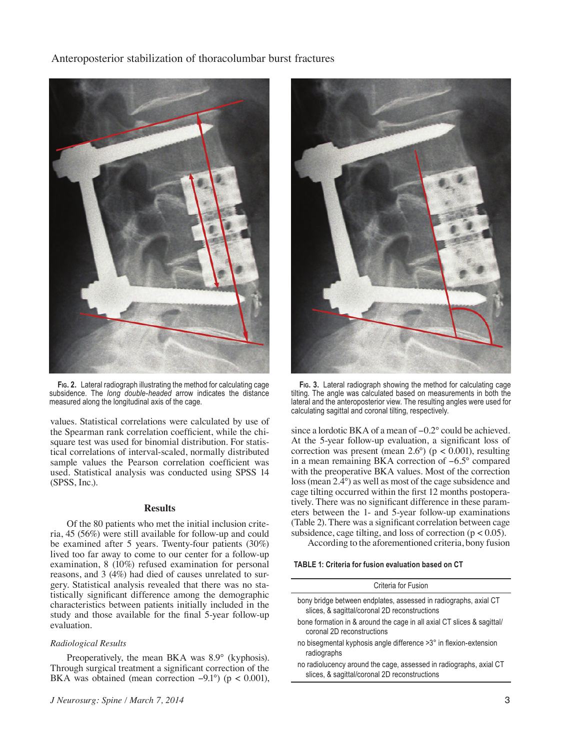Anteroposterior stabilization of thoracolumbar burst fractures



**Fig. 2.** Lateral radiograph illustrating the method for calculating cage subsidence. The *long double-headed* arrow indicates the distance measured along the longitudinal axis of the cage.

values. Statistical correlations were calculated by use of the Spearman rank correlation coefficient, while the chisquare test was used for binomial distribution. For statistical correlations of interval-scaled, normally distributed sample values the Pearson correlation coefficient was used. Statistical analysis was conducted using SPSS 14 (SPSS, Inc.).

#### **Results**

Of the 80 patients who met the initial inclusion criteria, 45 (56%) were still available for follow-up and could be examined after 5 years. Twenty-four patients (30%) lived too far away to come to our center for a follow-up examination, 8 (10%) refused examination for personal reasons, and 3 (4%) had died of causes unrelated to surgery. Statistical analysis revealed that there was no statistically significant difference among the demographic characteristics between patients initially included in the study and those available for the final 5-year follow-up evaluation.

#### *Radiological Results*

Preoperatively, the mean BKA was 8.9° (kyphosis). Through surgical treatment a significant correction of the BKA was obtained (mean correction  $-9.1^{\circ}$ ) (p < 0.001),



**Fig. 3.** Lateral radiograph showing the method for calculating cage tilting. The angle was calculated based on measurements in both the lateral and the anteroposterior view. The resulting angles were used for calculating sagittal and coronal tilting, respectively.

since a lordotic BKA of a mean of  $-0.2^{\circ}$  could be achieved. At the 5-year follow-up evaluation, a significant loss of correction was present (mean  $2.6^{\circ}$ ) (p < 0.001), resulting in a mean remaining BKA correction of  $-6.5^\circ$  compared with the preoperative BKA values. Most of the correction loss (mean 2.4°) as well as most of the cage subsidence and cage tilting occurred within the first 12 months postoperatively. There was no significant difference in these parameters between the 1- and 5-year follow-up examinations (Table 2). There was a significant correlation between cage subsidence, cage tilting, and loss of correction  $(p < 0.05)$ .

According to the aforementioned criteria, bony fusion

#### **TABLE 1: Criteria for fusion evaluation based on CT**

| Criteria for Fusion                                                                                                 |
|---------------------------------------------------------------------------------------------------------------------|
| bony bridge between endplates, assessed in radiographs, axial CT<br>slices, & sagittal/coronal 2D reconstructions   |
| bone formation in & around the cage in all axial CT slices & sagittal/<br>coronal 2D reconstructions                |
| no bisegmental kyphosis angle difference >3° in flexion-extension<br>radiographs                                    |
| no radiolucency around the cage, assessed in radiographs, axial CT<br>slices, & sagittal/coronal 2D reconstructions |
|                                                                                                                     |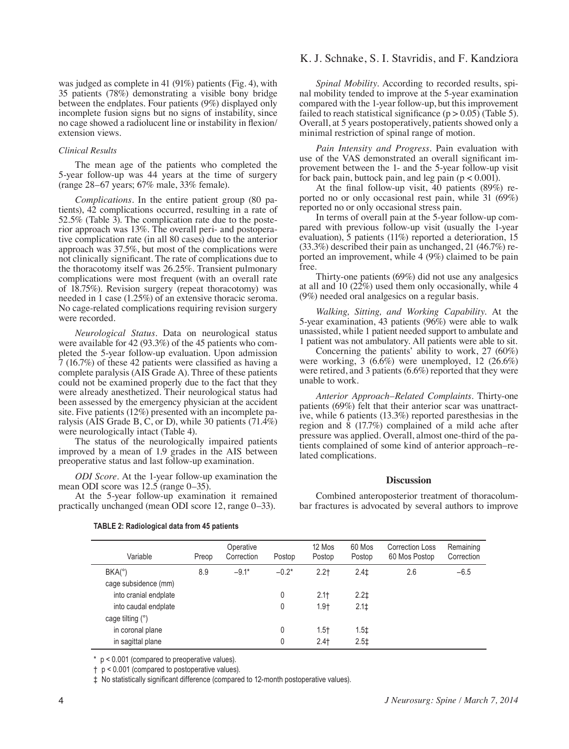was judged as complete in 41 (91%) patients (Fig. 4), with 35 patients (78%) demonstrating a visible bony bridge between the endplates. Four patients (9%) displayed only incomplete fusion signs but no signs of instability, since no cage showed a radiolucent line or instability in flexion/ extension views.

#### *Clinical Results*

The mean age of the patients who completed the 5-year follow-up was 44 years at the time of surgery (range 28–67 years; 67% male, 33% female).

*Complications.* In the entire patient group (80 patients), 42 complications occurred, resulting in a rate of 52.5% (Table 3). The complication rate due to the posterior approach was 13%. The overall peri- and postoperative complication rate (in all 80 cases) due to the anterior approach was 37.5%, but most of the complications were not clinically significant. The rate of complications due to the thoracotomy itself was 26.25%. Transient pulmonary complications were most frequent (with an overall rate of 18.75%). Revision surgery (repeat thoracotomy) was needed in 1 case (1.25%) of an extensive thoracic seroma. No cage-related complications requiring revision surgery were recorded.

*Neurological Status.* Data on neurological status were available for 42 (93.3%) of the 45 patients who completed the 5-year follow-up evaluation. Upon admission 7 (16.7%) of these 42 patients were classified as having a complete paralysis (AIS Grade A). Three of these patients could not be examined properly due to the fact that they were already anesthetized. Their neurological status had been assessed by the emergency physician at the accident site. Five patients (12%) presented with an incomplete paralysis (AIS Grade B, C, or D), while 30 patients (71.4%) were neurologically intact (Table 4).

The status of the neurologically impaired patients improved by a mean of 1.9 grades in the AIS between preoperative status and last follow-up examination.

*ODI Score.* At the 1-year follow-up examination the mean ODI score was 12.5 (range 0–35).

At the 5-year follow-up examination it remained practically unchanged (mean ODI score 12, range 0–33).

# K. J. Schnake, S. I. Stavridis, and F. Kandziora

*Spinal Mobility.* According to recorded results, spinal mobility tended to improve at the 5-year examination compared with the 1-year follow-up, but this improvement failed to reach statistical significance ( $p > 0.05$ ) (Table 5). Overall, at 5 years postoperatively, patients showed only a minimal restriction of spinal range of motion.

*Pain Intensity and Progress.* Pain evaluation with use of the VAS demonstrated an overall significant improvement between the 1- and the 5-year follow-up visit for back pain, buttock pain, and leg pain  $(p < 0.001)$ .

At the final follow-up visit, 40 patients (89%) reported no or only occasional rest pain, while 31 (69%) reported no or only occasional stress pain.

In terms of overall pain at the 5-year follow-up compared with previous follow-up visit (usually the 1-year evaluation), 5 patients (11%) reported a deterioration, 15 (33.3%) described their pain as unchanged, 21 (46.7%) reported an improvement, while 4 (9%) claimed to be pain free.

Thirty-one patients (69%) did not use any analgesics at all and 10 (22%) used them only occasionally, while 4 (9%) needed oral analgesics on a regular basis.

*Walking, Sitting, and Working Capability.* At the 5-year examination, 43 patients (96%) were able to walk unassisted, while 1 patient needed support to ambulate and 1 patient was not ambulatory. All patients were able to sit.

Concerning the patients' ability to work, 27 (60%) were working, 3 (6.6%) were unemployed, 12 (26.6%) were retired, and 3 patients (6.6%) reported that they were unable to work.

*Anterior Approach–Related Complaints.* Thirty-one patients (69%) felt that their anterior scar was unattractive, while 6 patients (13.3%) reported paresthesias in the region and 8 (17.7%) complained of a mild ache after pressure was applied. Overall, almost one-third of the patients complained of some kind of anterior approach–related complications.

#### **Discussion**

Combined anteroposterior treatment of thoracolumbar fractures is advocated by several authors to improve

| Preop | Operative<br>Correction | Postop  | 12 Mos<br>Postop | 60 Mos<br>Postop | <b>Correction Loss</b><br>60 Mos Postop | Remaining<br>Correction |
|-------|-------------------------|---------|------------------|------------------|-----------------------------------------|-------------------------|
| 8.9   | $-9.1*$                 | $-0.2*$ | $2.2+$           | $2.4+$           | 2.6                                     | $-6.5$                  |
|       |                         | 0       | $2.1+$           | $2.2+$           |                                         |                         |
|       |                         | 0       | $1.9+$           | $2.1+$           |                                         |                         |
|       |                         | 0       | $1.5+$           | $1.5+$           |                                         |                         |
|       |                         | 0       | $2.4+$           | $2.5+$           |                                         |                         |
|       |                         |         |                  |                  |                                         |                         |

## **TABLE 2: Radiological data from 45 patients**

\* p < 0.001 (compared to preoperative values).

† p < 0.001 (compared to postoperative values).

‡ No statistically significant difference (compared to 12-month postoperative values).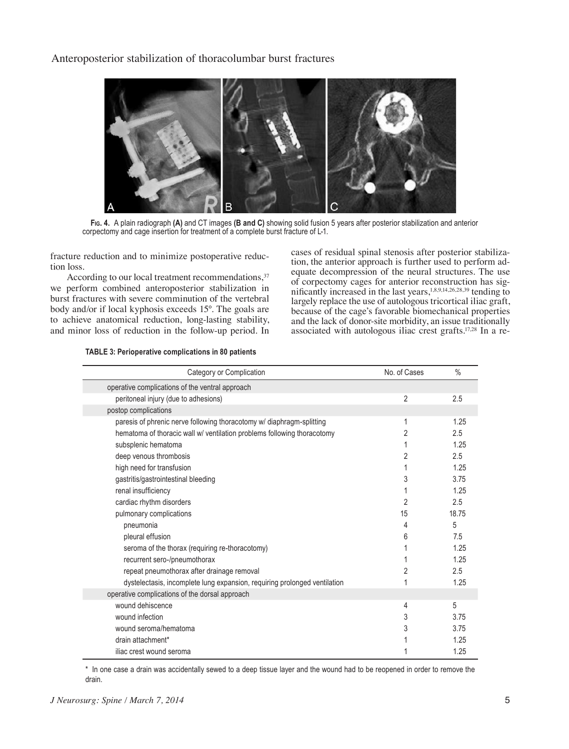Anteroposterior stabilization of thoracolumbar burst fractures



**Fig. 4.** A plain radiograph **(A)** and CT images **(B and C)** showing solid fusion 5 years after posterior stabilization and anterior corpectomy and cage insertion for treatment of a complete burst fracture of L-1.

fracture reduction and to minimize postoperative reduction loss.

According to our local treatment recommendations, 37 we perform combined anteroposterior stabilization in burst fractures with severe comminution of the vertebral body and/or if local kyphosis exceeds 15°. The goals are to achieve anatomical reduction, long-lasting stability, and minor loss of reduction in the follow-up period. In

| TABLE 3: Perioperative complications in 80 patients |  |  |  |  |
|-----------------------------------------------------|--|--|--|--|
|-----------------------------------------------------|--|--|--|--|

cases of residual spinal stenosis after posterior stabilization, the anterior approach is further used to perform adequate decompression of the neural structures. The use of corpectomy cages for anterior reconstruction has significantly increased in the last years,<sup>1,8,9,14,26,28,39</sup> tending to largely replace the use of autologous tricortical iliac graft, because of the cage's favorable biomechanical properties and the lack of donor-site morbidity, an issue traditionally associated with autologous iliac crest grafts.17,28 In a re-

| Category or Complication                                                  | No. of Cases   | $\%$  |
|---------------------------------------------------------------------------|----------------|-------|
| operative complications of the ventral approach                           |                |       |
| peritoneal injury (due to adhesions)                                      | 2              | 2.5   |
| postop complications                                                      |                |       |
| paresis of phrenic nerve following thoracotomy w/ diaphragm-splitting     | 1              | 1.25  |
| hematoma of thoracic wall w/ ventilation problems following thoracotomy   | 2              | 2.5   |
| subsplenic hematoma                                                       |                | 1.25  |
| deep venous thrombosis                                                    | 2              | 2.5   |
| high need for transfusion                                                 |                | 1.25  |
| gastritis/gastrointestinal bleeding                                       | 3              | 3.75  |
| renal insufficiency                                                       |                | 1.25  |
| cardiac rhythm disorders                                                  | $\overline{2}$ | 2.5   |
| pulmonary complications                                                   | 15             | 18.75 |
| pneumonia                                                                 | 4              | 5     |
| pleural effusion                                                          | 6              | 7.5   |
| seroma of the thorax (requiring re-thoracotomy)                           |                | 1.25  |
| recurrent sero-/pneumothorax                                              |                | 1.25  |
| repeat pneumothorax after drainage removal                                | 2              | 2.5   |
| dystelectasis, incomplete lung expansion, requiring prolonged ventilation |                | 1.25  |
| operative complications of the dorsal approach                            |                |       |
| wound dehiscence                                                          | 4              | 5     |
| wound infection                                                           | 3              | 3.75  |
| wound seroma/hematoma                                                     | 3              | 3.75  |
| drain attachment*                                                         |                | 1.25  |
| iliac crest wound seroma                                                  |                | 1.25  |

\* In one case a drain was accidentally sewed to a deep tissue layer and the wound had to be reopened in order to remove the drain.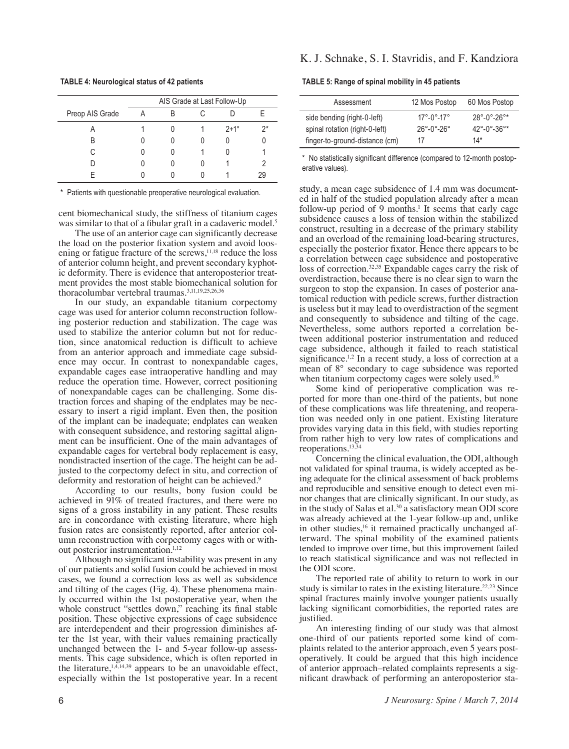| TABLE 4: Neurological status of 42 patients |  |  |
|---------------------------------------------|--|--|
|---------------------------------------------|--|--|

|                 | AIS Grade at Last Follow-Up |   |  |        |    |
|-----------------|-----------------------------|---|--|--------|----|
| Preop AIS Grade |                             | R |  |        |    |
|                 |                             |   |  | $2+1*$ |    |
| R               |                             |   |  |        |    |
| C               |                             |   |  |        |    |
|                 |                             |   |  |        |    |
|                 |                             |   |  |        | 29 |

\* Patients with questionable preoperative neurological evaluation.

cent biomechanical study, the stiffness of titanium cages was similar to that of a fibular graft in a cadaveric model.<sup>5</sup>

The use of an anterior cage can significantly decrease the load on the posterior fixation system and avoid loosening or fatigue fracture of the screws,<sup>11,18</sup> reduce the loss of anterior column height, and prevent secondary kyphotic deformity. There is evidence that anteroposterior treatment provides the most stable biomechanical solution for thoracolumbar vertebral traumas.3,11,19,25,26,36

In our study, an expandable titanium corpectomy cage was used for anterior column reconstruction following posterior reduction and stabilization. The cage was used to stabilize the anterior column but not for reduction, since anatomical reduction is difficult to achieve from an anterior approach and immediate cage subsidence may occur. In contrast to nonexpandable cages, expandable cages ease intraoperative handling and may reduce the operation time. However, correct positioning of nonexpandable cages can be challenging. Some distraction forces and shaping of the endplates may be necessary to insert a rigid implant. Even then, the position of the implant can be inadequate; endplates can weaken with consequent subsidence, and restoring sagittal alignment can be insufficient. One of the main advantages of expandable cages for vertebral body replacement is easy, nondistracted insertion of the cage. The height can be adjusted to the corpectomy defect in situ, and correction of deformity and restoration of height can be achieved.<sup>9</sup>

According to our results, bony fusion could be achieved in 91% of treated fractures, and there were no signs of a gross instability in any patient. These results are in concordance with existing literature, where high fusion rates are consistently reported, after anterior column reconstruction with corpectomy cages with or without posterior instrumentation.<sup>1,12</sup>

Although no significant instability was present in any of our patients and solid fusion could be achieved in most cases, we found a correction loss as well as subsidence and tilting of the cages (Fig. 4). These phenomena mainly occurred within the 1st postoperative year, when the whole construct "settles down," reaching its final stable position. These objective expressions of cage subsidence are interdependent and their progression diminishes after the 1st year, with their values remaining practically unchanged between the 1- and 5-year follow-up assessments. This cage subsidence, which is often reported in the literature,  $1,4,14,39$  appears to be an unavoidable effect, especially within the 1st postoperative year. In a recent

**TABLE 5: Range of spinal mobility in 45 patients**

| Assessment                     | 12 Mos Postop                         | 60 Mos Postop                          |
|--------------------------------|---------------------------------------|----------------------------------------|
| side bending (right-0-left)    | $17^{\circ} - 0^{\circ} - 17^{\circ}$ | $28^{\circ} - 0^{\circ} - 26^{\circ*}$ |
| spinal rotation (right-0-left) | 26°-0°-26°                            | $42^{\circ} - 0^{\circ} - 36^{\circ*}$ |
| finger-to-ground-distance (cm) | 17                                    | $14*$                                  |

\* No statistically significant difference (compared to 12-month postoperative values).

study, a mean cage subsidence of 1.4 mm was documented in half of the studied population already after a mean follow-up period of 9 months.<sup>1</sup> It seems that early cage subsidence causes a loss of tension within the stabilized construct, resulting in a decrease of the primary stability and an overload of the remaining load-bearing structures, especially the posterior fixator. Hence there appears to be a correlation between cage subsidence and postoperative loss of correction.<sup>32,35</sup> Expandable cages carry the risk of overdistraction, because there is no clear sign to warn the surgeon to stop the expansion. In cases of posterior anatomical reduction with pedicle screws, further distraction is useless but it may lead to overdistraction of the segment and consequently to subsidence and tilting of the cage. Nevertheless, some authors reported a correlation between additional posterior instrumentation and reduced cage subsidence, although it failed to reach statistical significance.<sup>1,2</sup> In a recent study, a loss of correction at a mean of 8° secondary to cage subsidence was reported when titanium corpectomy cages were solely used.<sup>16</sup>

Some kind of perioperative complication was reported for more than one-third of the patients, but none of these complications was life threatening, and reoperation was needed only in one patient. Existing literature provides varying data in this field, with studies reporting from rather high to very low rates of complications and reoperations.13,34

Concerning the clinical evaluation, the ODI, although not validated for spinal trauma, is widely accepted as being adequate for the clinical assessment of back problems and reproducible and sensitive enough to detect even minor changes that are clinically significant. In our study, as in the study of Salas et al.<sup>30</sup> a satisfactory mean ODI score was already achieved at the 1-year follow-up and, unlike in other studies,<sup>16</sup> it remained practically unchanged afterward. The spinal mobility of the examined patients tended to improve over time, but this improvement failed to reach statistical significance and was not reflected in the ODI score.

The reported rate of ability to return to work in our study is similar to rates in the existing literature.<sup>22,23</sup> Since spinal fractures mainly involve younger patients usually lacking significant comorbidities, the reported rates are justified.

An interesting finding of our study was that almost one-third of our patients reported some kind of complaints related to the anterior approach, even 5 years postoperatively. It could be argued that this high incidence of anterior approach–related complaints represents a significant drawback of performing an anteroposterior sta-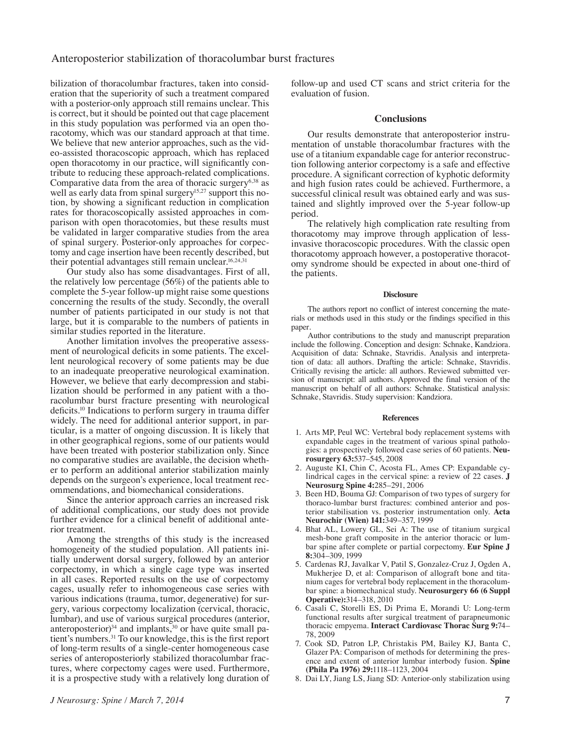## Anteroposterior stabilization of thoracolumbar burst fractures

bilization of thoracolumbar fractures, taken into consideration that the superiority of such a treatment compared with a posterior-only approach still remains unclear. This is correct, but it should be pointed out that cage placement in this study population was performed via an open thoracotomy, which was our standard approach at that time. We believe that new anterior approaches, such as the video-assisted thoracoscopic approach, which has replaced open thoracotomy in our practice, will significantly contribute to reducing these approach-related complications. Comparative data from the area of thoracic surgery6,38 as well as early data from spinal surgery<sup>15,27</sup> support this notion, by showing a significant reduction in complication rates for thoracoscopically assisted approaches in comparison with open thoracotomies, but these results must be validated in larger comparative studies from the area of spinal surgery. Posterior-only approaches for corpectomy and cage insertion have been recently described, but their potential advantages still remain unclear.<sup>16,24,31</sup>

Our study also has some disadvantages. First of all, the relatively low percentage (56%) of the patients able to complete the 5-year follow-up might raise some questions concerning the results of the study. Secondly, the overall number of patients participated in our study is not that large, but it is comparable to the numbers of patients in similar studies reported in the literature.

Another limitation involves the preoperative assessment of neurological deficits in some patients. The excellent neurological recovery of some patients may be due to an inadequate preoperative neurological examination. However, we believe that early decompression and stabilization should be performed in any patient with a thoracolumbar burst fracture presenting with neurological deficits.10 Indications to perform surgery in trauma differ widely. The need for additional anterior support, in particular, is a matter of ongoing discussion. It is likely that in other geographical regions, some of our patients would have been treated with posterior stabilization only. Since no comparative studies are available, the decision whether to perform an additional anterior stabilization mainly depends on the surgeon's experience, local treatment recommendations, and biomechanical considerations.

Since the anterior approach carries an increased risk of additional complications, our study does not provide further evidence for a clinical benefit of additional anterior treatment.

Among the strengths of this study is the increased homogeneity of the studied population. All patients initially underwent dorsal surgery, followed by an anterior corpectomy, in which a single cage type was inserted in all cases. Reported results on the use of corpectomy cages, usually refer to inhomogeneous case series with various indications (trauma, tumor, degenerative) for surgery, various corpectomy localization (cervical, thoracic, lumbar), and use of various surgical procedures (anterior, anteroposterior) $34$  and implants, $30$  or have quite small patient's numbers.31 To our knowledge, this is the first report of long-term results of a single-center homogeneous case series of anteroposteriorly stabilized thoracolumbar fractures, where corpectomy cages were used. Furthermore, it is a prospective study with a relatively long duration of

follow-up and used CT scans and strict criteria for the evaluation of fusion.

#### **Conclusions**

Our results demonstrate that anteroposterior instrumentation of unstable thoracolumbar fractures with the use of a titanium expandable cage for anterior reconstruction following anterior corpectomy is a safe and effective procedure. A significant correction of kyphotic deformity and high fusion rates could be achieved. Furthermore, a successful clinical result was obtained early and was sustained and slightly improved over the 5-year follow-up period.

The relatively high complication rate resulting from thoracotomy may improve through application of lessinvasive thoracoscopic procedures. With the classic open thoracotomy approach however, a postoperative thoracotomy syndrome should be expected in about one-third of the patients.

#### **Disclosure**

The authors report no conflict of interest concerning the materials or methods used in this study or the findings specified in this paper.

Author contributions to the study and manuscript preparation include the following. Conception and design: Schnake, Kandziora. Acquisition of data: Schnake, Stavridis. Analysis and interpretation of data: all authors. Drafting the article: Schnake, Stavridis. Critically revising the article: all authors. Reviewed submitted version of manuscript: all authors. Approved the final version of the manuscript on behalf of all authors: Schnake. Statistical analysis: Schnake, Stavridis. Study supervision: Kandziora.

#### **References**

- 1. Arts MP, Peul WC: Vertebral body replacement systems with expandable cages in the treatment of various spinal pathologies: a prospectively followed case series of 60 patients. **Neurosurgery 63:**537–545, 2008
- 2. Auguste KI, Chin C, Acosta FL, Ames CP: Expandable cylindrical cages in the cervical spine: a review of 22 cases. **J Neurosurg Spine 4:**285–291, 2006
- 3. Been HD, Bouma GJ: Comparison of two types of surgery for thoraco-lumbar burst fractures: combined anterior and posterior stabilisation vs. posterior instrumentation only. **Acta Neurochir (Wien) 141:**349–357, 1999
- 4. Bhat AL, Lowery GL, Sei A: The use of titanium surgical mesh-bone graft composite in the anterior thoracic or lumbar spine after complete or partial corpectomy. **Eur Spine J 8:**304–309, 1999
- 5. Cardenas RJ, Javalkar V, Patil S, Gonzalez-Cruz J, Ogden A, Mukherjee D, et al: Comparison of allograft bone and titanium cages for vertebral body replacement in the thoracolumbar spine: a biomechanical study. **Neurosurgery 66 (6 Suppl Operative):**314–318, 2010
- 6. Casali C, Storelli ES, Di Prima E, Morandi U: Long-term functional results after surgical treatment of parapneumonic thoracic empyema. **Interact Cardiovasc Thorac Surg 9:**74– 78, 2009
- 7. Cook SD, Patron LP, Christakis PM, Bailey KJ, Banta C, Glazer PA: Comparison of methods for determining the presence and extent of anterior lumbar interbody fusion. **Spine (Phila Pa 1976) 29:**1118–1123, 2004
- 8. Dai LY, Jiang LS, Jiang SD: Anterior-only stabilization using